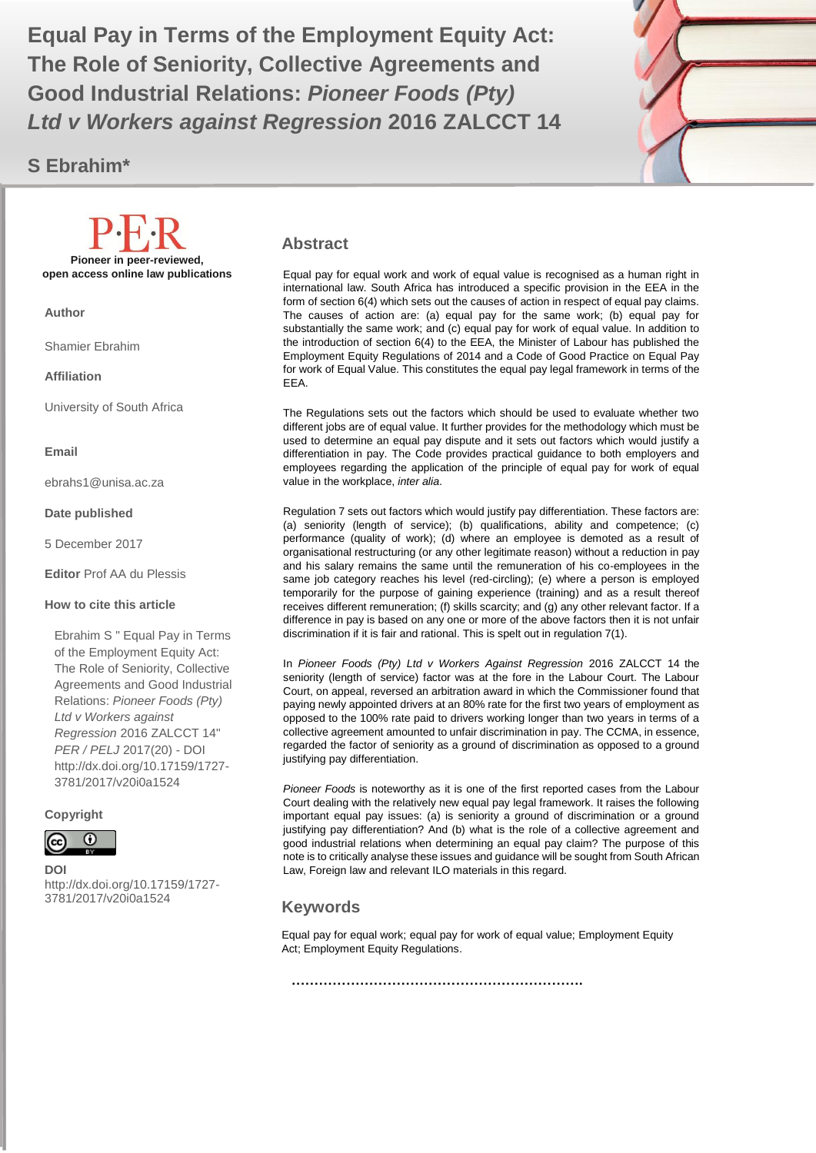The Role of Seniority, Collective Agreements and **The Role of Seniority, Collective Agreements and Equal Pay in Terms of the Employment Equity Act: Good Industrial Relations:** *Pioneer Foods (Pty) Ltd v Workers against Regression* **2016 ZALCCT 14**

## **S Ebrahim\***



#### **Abstract**

Equal pay for equal work and work of equal value is recognised as a human right in international law. South Africa has introduced a specific provision in the EEA in the form of section 6(4) which sets out the causes of action in respect of equal pay claims. The causes of action are: (a) equal pay for the same work; (b) equal pay for substantially the same work; and (c) equal pay for work of equal value. In addition to the introduction of section 6(4) to the EEA, the Minister of Labour has published the Employment Equity Regulations of 2014 and a Code of Good Practice on Equal Pay for work of Equal Value. This constitutes the equal pay legal framework in terms of the EEA.

The Regulations sets out the factors which should be used to evaluate whether two different jobs are of equal value. It further provides for the methodology which must be used to determine an equal pay dispute and it sets out factors which would justify a differentiation in pay. The Code provides practical guidance to both employers and employees regarding the application of the principle of equal pay for work of equal value in the workplace, *inter alia*.

Regulation 7 sets out factors which would justify pay differentiation. These factors are: (a) seniority (length of service); (b) qualifications, ability and competence; (c) performance (quality of work); (d) where an employee is demoted as a result of organisational restructuring (or any other legitimate reason) without a reduction in pay and his salary remains the same until the remuneration of his co-employees in the same job category reaches his level (red-circling); (e) where a person is employed temporarily for the purpose of gaining experience (training) and as a result thereof receives different remuneration; (f) skills scarcity; and (g) any other relevant factor. If a difference in pay is based on any one or more of the above factors then it is not unfair discrimination if it is fair and rational. This is spelt out in regulation 7(1).

In *Pioneer Foods (Pty) Ltd v Workers Against Regression* 2016 ZALCCT 14 the seniority (length of service) factor was at the fore in the Labour Court. The Labour Court, on appeal, reversed an arbitration award in which the Commissioner found that paying newly appointed drivers at an 80% rate for the first two years of employment as opposed to the 100% rate paid to drivers working longer than two years in terms of a collective agreement amounted to unfair discrimination in pay. The CCMA, in essence, regarded the factor of seniority as a ground of discrimination as opposed to a ground justifying pay differentiation.

*Pioneer Foods* is noteworthy as it is one of the first reported cases from the Labour Court dealing with the relatively new equal pay legal framework. It raises the following important equal pay issues: (a) is seniority a ground of discrimination or a ground justifying pay differentiation? And (b) what is the role of a collective agreement and good industrial relations when determining an equal pay claim? The purpose of this note is to critically analyse these issues and guidance will be sought from South African Law, Foreign law and relevant ILO materials in this regard.

### **Keywords**

Equal pay for equal work; equal pay for work of equal value; Employment Equity Act; Employment Equity Regulations.

**……………………………………………………….**

**Affiliation**

Shamier Ebrahim

University of South Africa

**Pioneer in peer-reviewed, open access online law publications**

**Email**

**Author**

ebrahs1@unisa.ac.za

#### **Date published**

5 December 2017

**Editor** Prof AA du Plessis

#### **How to cite this article**

Ebrahim S " Equal Pay in Terms of the Employment Equity Act: The Role of Seniority, Collective Agreements and Good Industrial Relations: *Pioneer Foods (Pty) Ltd v Workers against Regression* 2016 ZALCCT 14" *PER / PELJ* 2017(20) - DOI http://dx.doi.org/10.17159/1727- 3781/2017/v20i0a1524

**Copyright**



**DOI**  http://dx.doi.org/10.17159/1727- 3781/2017/v20i0a1524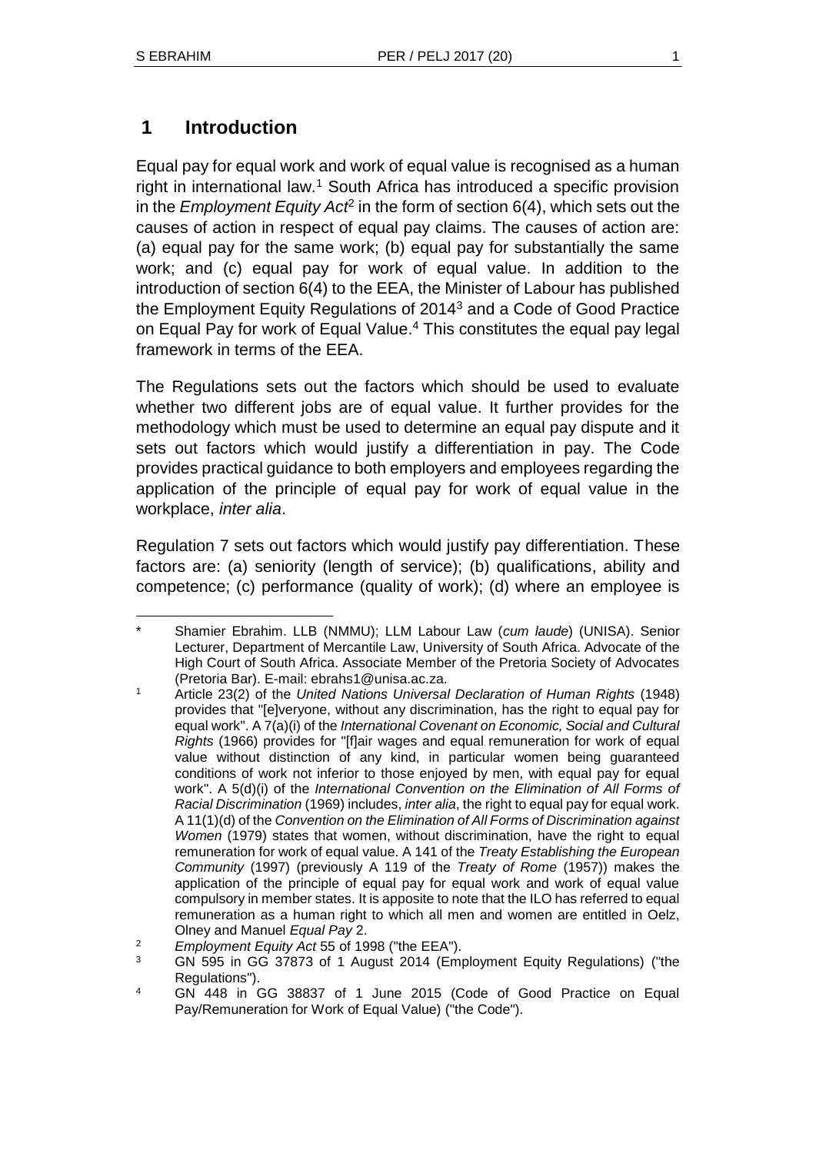# **1 Introduction**

Equal pay for equal work and work of equal value is recognised as a human right in international law.<sup>1</sup> South Africa has introduced a specific provision in the *Employment Equity Act<sup>2</sup>* in the form of section 6(4), which sets out the causes of action in respect of equal pay claims. The causes of action are: (a) equal pay for the same work; (b) equal pay for substantially the same work; and (c) equal pay for work of equal value. In addition to the introduction of section 6(4) to the EEA, the Minister of Labour has published the Employment Equity Regulations of 2014<sup>3</sup> and a Code of Good Practice on Equal Pay for work of Equal Value.<sup>4</sup> This constitutes the equal pay legal framework in terms of the EEA.

The Regulations sets out the factors which should be used to evaluate whether two different jobs are of equal value. It further provides for the methodology which must be used to determine an equal pay dispute and it sets out factors which would justify a differentiation in pay. The Code provides practical guidance to both employers and employees regarding the application of the principle of equal pay for work of equal value in the workplace, *inter alia*.

Regulation 7 sets out factors which would justify pay differentiation. These factors are: (a) seniority (length of service); (b) qualifications, ability and competence; (c) performance (quality of work); (d) where an employee is

 $\overline{a}$ \* Shamier Ebrahim. LLB (NMMU); LLM Labour Law (*cum laude*) (UNISA). Senior Lecturer, Department of Mercantile Law, University of South Africa. Advocate of the High Court of South Africa. Associate Member of the Pretoria Society of Advocates (Pretoria Bar). E-mail: ebrahs1@unisa.ac.za.

<sup>1</sup> Article 23(2) of the *United Nations Universal Declaration of Human Rights* (1948) provides that "[e]veryone, without any discrimination, has the right to equal pay for equal work". A 7(a)(i) of the *International Covenant on Economic, Social and Cultural Rights* (1966) provides for "[f]air wages and equal remuneration for work of equal value without distinction of any kind, in particular women being guaranteed conditions of work not inferior to those enjoyed by men, with equal pay for equal work". A 5(d)(i) of the *International Convention on the Elimination of All Forms of Racial Discrimination* (1969) includes, *inter alia*, the right to equal pay for equal work. A 11(1)(d) of the *Convention on the Elimination of All Forms of Discrimination against Women* (1979) states that women, without discrimination, have the right to equal remuneration for work of equal value. A 141 of the *Treaty Establishing the European Community* (1997) (previously A 119 of the *Treaty of Rome* (1957)) makes the application of the principle of equal pay for equal work and work of equal value compulsory in member states. It is apposite to note that the ILO has referred to equal remuneration as a human right to which all men and women are entitled in Oelz, Olney and Manuel *Equal Pay* 2.

<sup>2</sup> *Employment Equity Act* 55 of 1998 ("the EEA").

<sup>3</sup> GN 595 in GG 37873 of 1 August 2014 (Employment Equity Regulations) ("the Regulations").

<sup>4</sup> GN 448 in GG 38837 of 1 June 2015 (Code of Good Practice on Equal Pay/Remuneration for Work of Equal Value) ("the Code").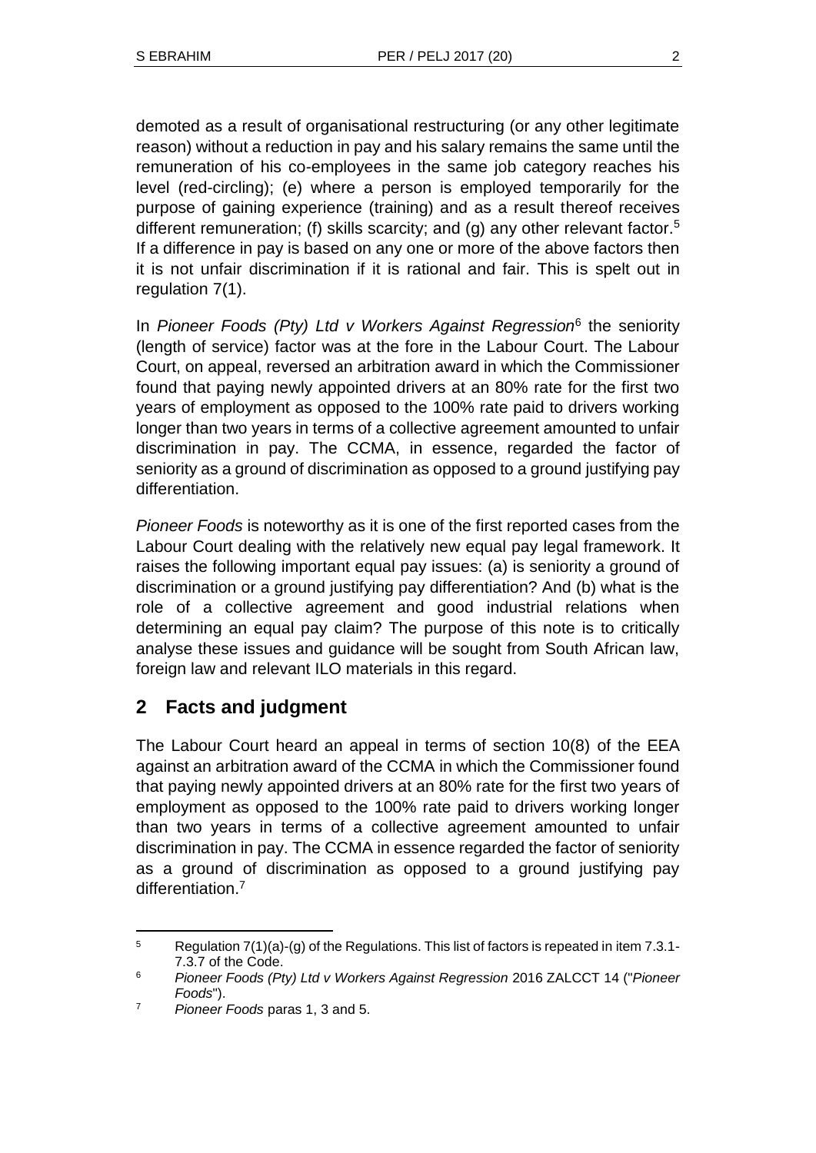demoted as a result of organisational restructuring (or any other legitimate reason) without a reduction in pay and his salary remains the same until the remuneration of his co-employees in the same job category reaches his level (red-circling); (e) where a person is employed temporarily for the purpose of gaining experience (training) and as a result thereof receives different remuneration; (f) skills scarcity; and (g) any other relevant factor.<sup>5</sup> If a difference in pay is based on any one or more of the above factors then it is not unfair discrimination if it is rational and fair. This is spelt out in regulation 7(1).

In *Pioneer Foods (Pty) Ltd v Workers Against Regression*<sup>6</sup> the seniority (length of service) factor was at the fore in the Labour Court. The Labour Court, on appeal, reversed an arbitration award in which the Commissioner found that paying newly appointed drivers at an 80% rate for the first two years of employment as opposed to the 100% rate paid to drivers working longer than two years in terms of a collective agreement amounted to unfair discrimination in pay. The CCMA, in essence, regarded the factor of seniority as a ground of discrimination as opposed to a ground justifying pay differentiation.

*Pioneer Foods* is noteworthy as it is one of the first reported cases from the Labour Court dealing with the relatively new equal pay legal framework. It raises the following important equal pay issues: (a) is seniority a ground of discrimination or a ground justifying pay differentiation? And (b) what is the role of a collective agreement and good industrial relations when determining an equal pay claim? The purpose of this note is to critically analyse these issues and guidance will be sought from South African law, foreign law and relevant ILO materials in this regard.

# **2 Facts and judgment**

The Labour Court heard an appeal in terms of section 10(8) of the EEA against an arbitration award of the CCMA in which the Commissioner found that paying newly appointed drivers at an 80% rate for the first two years of employment as opposed to the 100% rate paid to drivers working longer than two years in terms of a collective agreement amounted to unfair discrimination in pay. The CCMA in essence regarded the factor of seniority as a ground of discrimination as opposed to a ground justifying pay differentiation.<sup>7</sup>

l  $5$  Regulation 7(1)(a)-(g) of the Regulations. This list of factors is repeated in item 7.3.1-7.3.7 of the Code.

<sup>6</sup> *Pioneer Foods (Pty) Ltd v Workers Against Regression* 2016 ZALCCT 14 ("*Pioneer Foods*").

<sup>7</sup> *Pioneer Foods* paras 1, 3 and 5.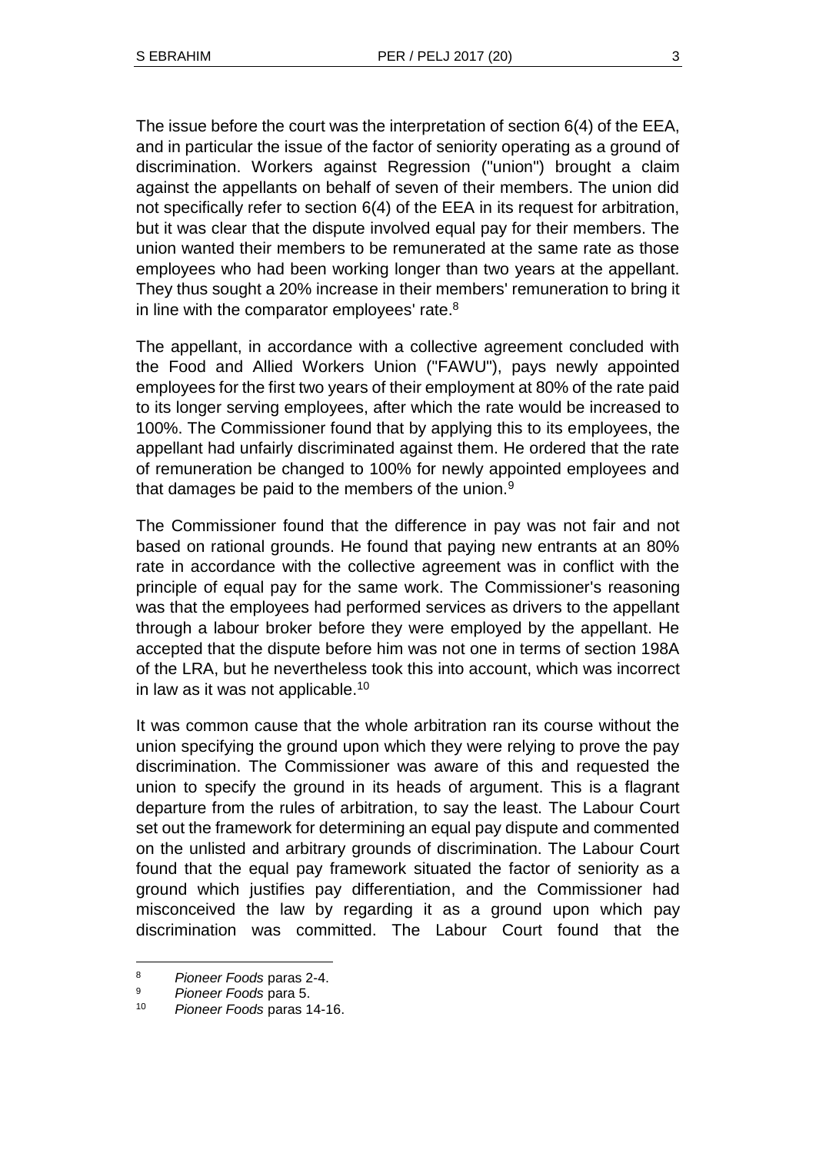The issue before the court was the interpretation of section 6(4) of the EEA, and in particular the issue of the factor of seniority operating as a ground of discrimination. Workers against Regression ("union") brought a claim against the appellants on behalf of seven of their members. The union did not specifically refer to section 6(4) of the EEA in its request for arbitration, but it was clear that the dispute involved equal pay for their members. The union wanted their members to be remunerated at the same rate as those employees who had been working longer than two years at the appellant. They thus sought a 20% increase in their members' remuneration to bring it in line with the comparator employees' rate.<sup>8</sup>

The appellant, in accordance with a collective agreement concluded with the Food and Allied Workers Union ("FAWU"), pays newly appointed employees for the first two years of their employment at 80% of the rate paid to its longer serving employees, after which the rate would be increased to 100%. The Commissioner found that by applying this to its employees, the appellant had unfairly discriminated against them. He ordered that the rate of remuneration be changed to 100% for newly appointed employees and that damages be paid to the members of the union. $9$ 

The Commissioner found that the difference in pay was not fair and not based on rational grounds. He found that paying new entrants at an 80% rate in accordance with the collective agreement was in conflict with the principle of equal pay for the same work. The Commissioner's reasoning was that the employees had performed services as drivers to the appellant through a labour broker before they were employed by the appellant. He accepted that the dispute before him was not one in terms of section 198A of the LRA, but he nevertheless took this into account, which was incorrect in law as it was not applicable.<sup>10</sup>

It was common cause that the whole arbitration ran its course without the union specifying the ground upon which they were relying to prove the pay discrimination. The Commissioner was aware of this and requested the union to specify the ground in its heads of argument. This is a flagrant departure from the rules of arbitration, to say the least. The Labour Court set out the framework for determining an equal pay dispute and commented on the unlisted and arbitrary grounds of discrimination. The Labour Court found that the equal pay framework situated the factor of seniority as a ground which justifies pay differentiation, and the Commissioner had misconceived the law by regarding it as a ground upon which pay discrimination was committed. The Labour Court found that the

 $\overline{a}$ 

<sup>8</sup> *Pioneer Foods* paras 2-4.

<sup>9</sup> *Pioneer Foods* para 5.

<sup>10</sup> *Pioneer Foods* paras 14-16.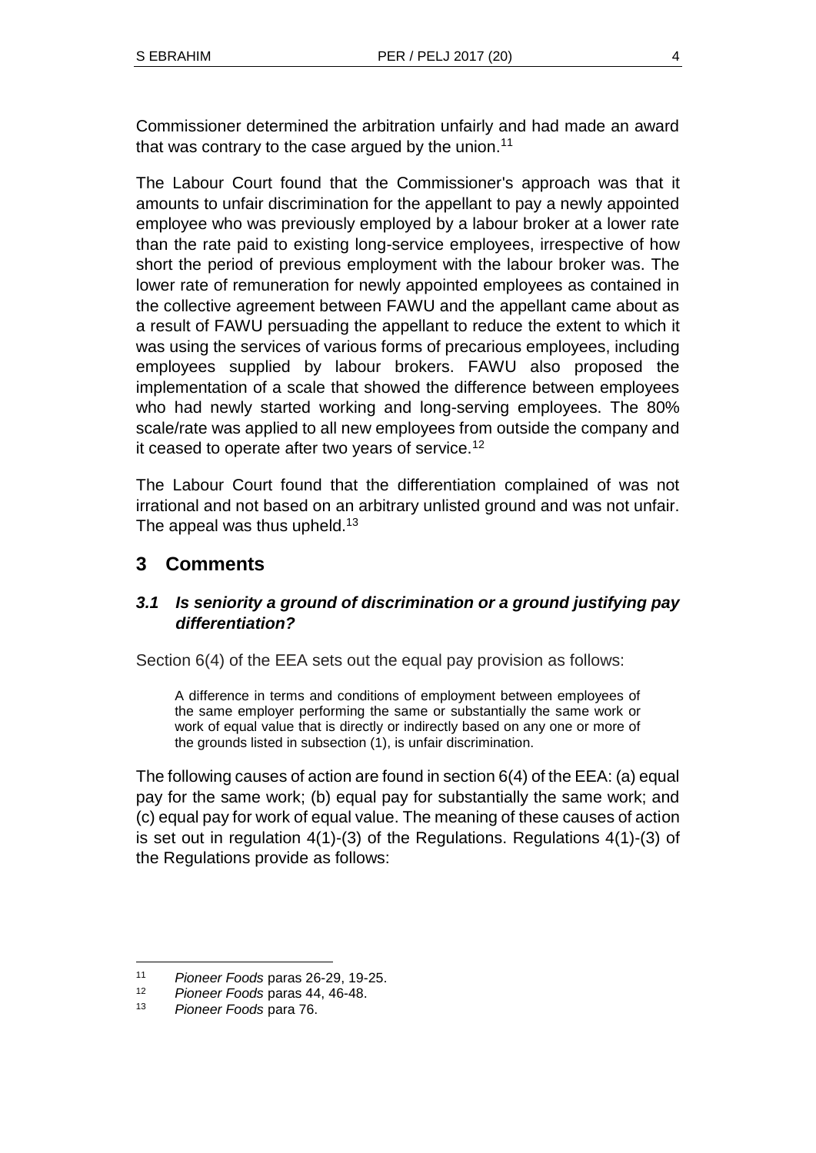Commissioner determined the arbitration unfairly and had made an award that was contrary to the case argued by the union.<sup>11</sup>

The Labour Court found that the Commissioner's approach was that it amounts to unfair discrimination for the appellant to pay a newly appointed employee who was previously employed by a labour broker at a lower rate than the rate paid to existing long-service employees, irrespective of how short the period of previous employment with the labour broker was. The lower rate of remuneration for newly appointed employees as contained in the collective agreement between FAWU and the appellant came about as a result of FAWU persuading the appellant to reduce the extent to which it was using the services of various forms of precarious employees, including employees supplied by labour brokers. FAWU also proposed the implementation of a scale that showed the difference between employees who had newly started working and long-serving employees. The 80% scale/rate was applied to all new employees from outside the company and it ceased to operate after two years of service.<sup>12</sup>

The Labour Court found that the differentiation complained of was not irrational and not based on an arbitrary unlisted ground and was not unfair. The appeal was thus upheld.<sup>13</sup>

# **3 Comments**

## *3.1 Is seniority a ground of discrimination or a ground justifying pay differentiation?*

Section 6(4) of the EEA sets out the equal pay provision as follows:

A difference in terms and conditions of employment between employees of the same employer performing the same or substantially the same work or work of equal value that is directly or indirectly based on any one or more of the grounds listed in subsection (1), is unfair discrimination.

The following causes of action are found in section 6(4) of the EEA: (a) equal pay for the same work; (b) equal pay for substantially the same work; and (c) equal pay for work of equal value. The meaning of these causes of action is set out in regulation 4(1)-(3) of the Regulations. Regulations 4(1)-(3) of the Regulations provide as follows:

 $\overline{a}$ 

<sup>11</sup> *Pioneer Foods* paras 26-29, 19-25.

<sup>12</sup> *Pioneer Foods* paras 44, 46-48.

<sup>13</sup> *Pioneer Foods* para 76.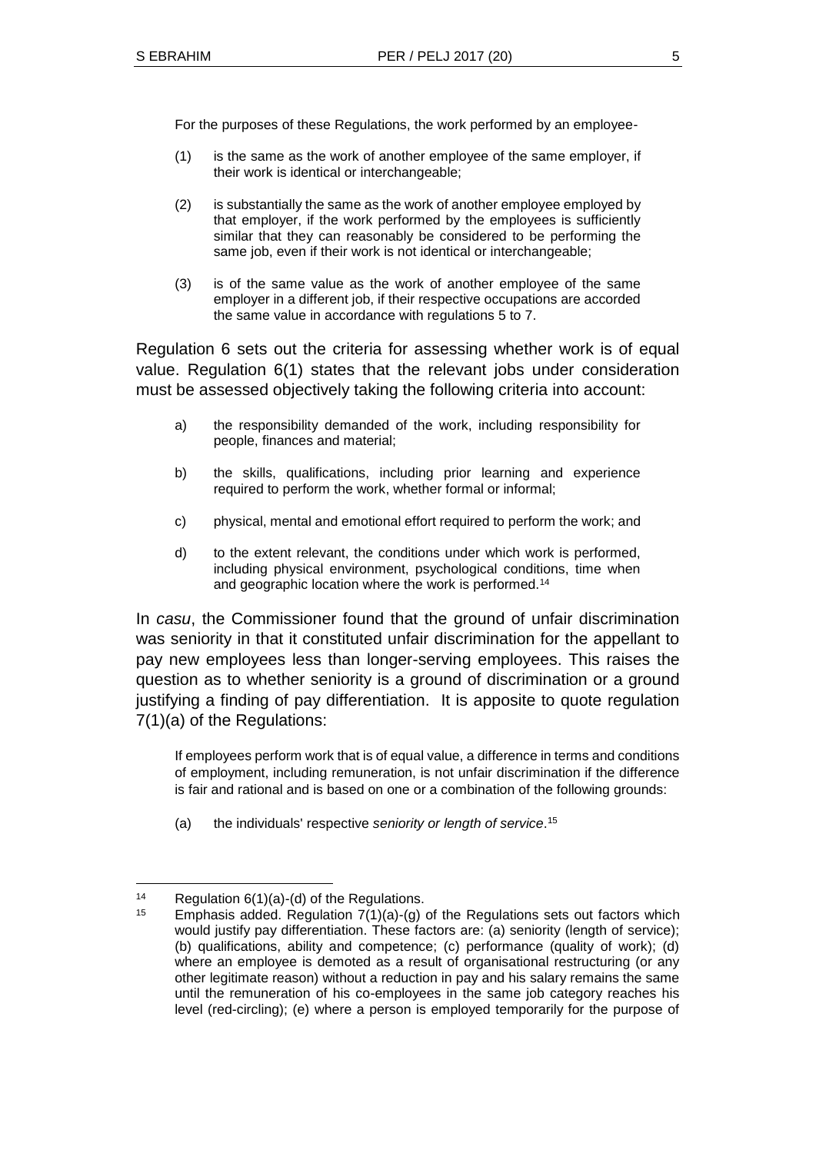For the purposes of these Regulations, the work performed by an employee-

- (1) is the same as the work of another employee of the same employer, if their work is identical or interchangeable;
- (2) is substantially the same as the work of another employee employed by that employer, if the work performed by the employees is sufficiently similar that they can reasonably be considered to be performing the same job, even if their work is not identical or interchangeable;
- (3) is of the same value as the work of another employee of the same employer in a different job, if their respective occupations are accorded the same value in accordance with regulations 5 to 7.

Regulation 6 sets out the criteria for assessing whether work is of equal value. Regulation 6(1) states that the relevant jobs under consideration must be assessed objectively taking the following criteria into account:

- a) the responsibility demanded of the work, including responsibility for people, finances and material;
- b) the skills, qualifications, including prior learning and experience required to perform the work, whether formal or informal;
- c) physical, mental and emotional effort required to perform the work; and
- d) to the extent relevant, the conditions under which work is performed, including physical environment, psychological conditions, time when and geographic location where the work is performed.<sup>14</sup>

In *casu*, the Commissioner found that the ground of unfair discrimination was seniority in that it constituted unfair discrimination for the appellant to pay new employees less than longer-serving employees. This raises the question as to whether seniority is a ground of discrimination or a ground justifying a finding of pay differentiation. It is apposite to quote regulation 7(1)(a) of the Regulations:

If employees perform work that is of equal value, a difference in terms and conditions of employment, including remuneration, is not unfair discrimination if the difference is fair and rational and is based on one or a combination of the following grounds:

(a) the individuals' respective *seniority or length of service*. 15

<sup>14</sup> Regulation 6(1)(a)-(d) of the Regulations.

<sup>&</sup>lt;sup>15</sup> Emphasis added. Regulation  $7(1)(a)-(g)$  of the Regulations sets out factors which would justify pay differentiation. These factors are: (a) seniority (length of service); (b) qualifications, ability and competence; (c) performance (quality of work); (d) where an employee is demoted as a result of organisational restructuring (or any other legitimate reason) without a reduction in pay and his salary remains the same until the remuneration of his co-employees in the same job category reaches his level (red-circling); (e) where a person is employed temporarily for the purpose of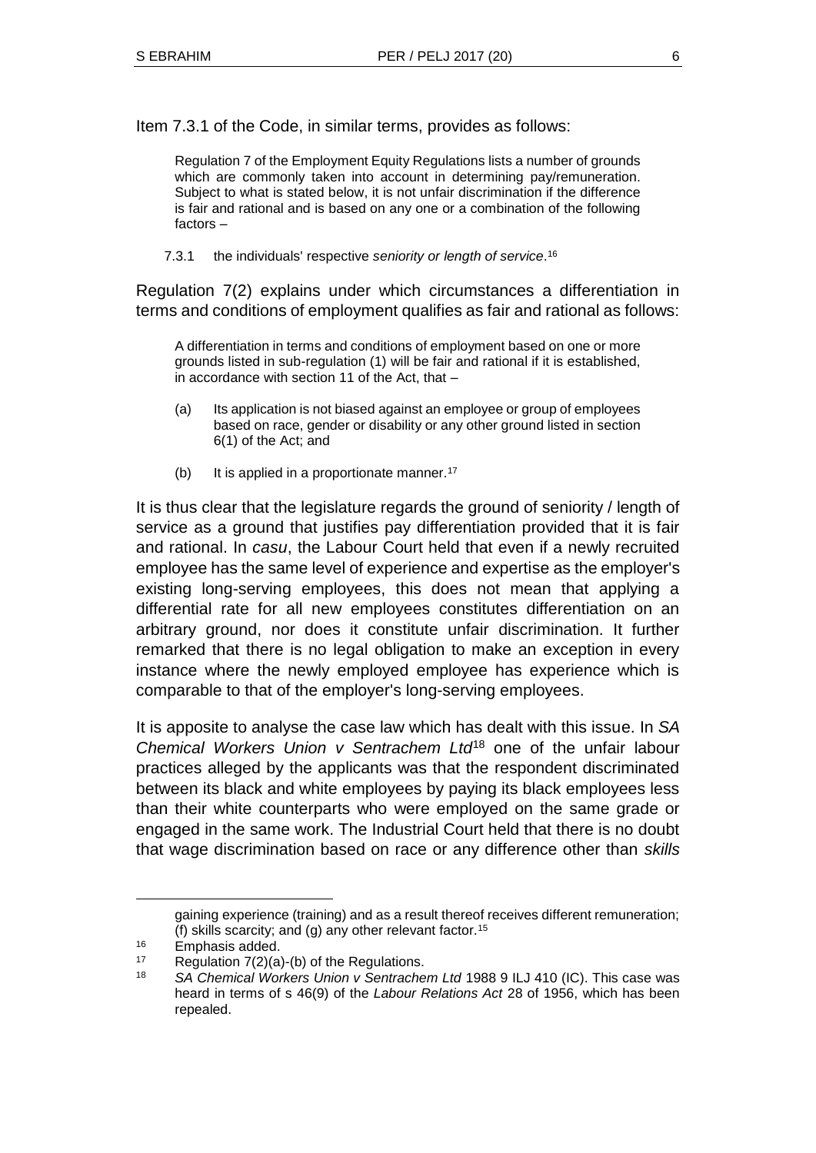Item 7.3.1 of the Code, in similar terms, provides as follows:

Regulation 7 of the Employment Equity Regulations lists a number of grounds which are commonly taken into account in determining pay/remuneration. Subject to what is stated below, it is not unfair discrimination if the difference is fair and rational and is based on any one or a combination of the following factors –

7.3.1 the individuals' respective *seniority or length of service*. 16

Regulation 7(2) explains under which circumstances a differentiation in terms and conditions of employment qualifies as fair and rational as follows:

A differentiation in terms and conditions of employment based on one or more grounds listed in sub-regulation (1) will be fair and rational if it is established, in accordance with section 11 of the Act, that –

- (a) Its application is not biased against an employee or group of employees based on race, gender or disability or any other ground listed in section 6(1) of the Act; and
- (b) It is applied in a proportionate manner.<sup>17</sup>

It is thus clear that the legislature regards the ground of seniority / length of service as a ground that justifies pay differentiation provided that it is fair and rational. In *casu*, the Labour Court held that even if a newly recruited employee has the same level of experience and expertise as the employer's existing long-serving employees, this does not mean that applying a differential rate for all new employees constitutes differentiation on an arbitrary ground, nor does it constitute unfair discrimination. It further remarked that there is no legal obligation to make an exception in every instance where the newly employed employee has experience which is comparable to that of the employer's long-serving employees.

It is apposite to analyse the case law which has dealt with this issue. In *SA Chemical Workers Union v Sentrachem Ltd*<sup>18</sup> one of the unfair labour practices alleged by the applicants was that the respondent discriminated between its black and white employees by paying its black employees less than their white counterparts who were employed on the same grade or engaged in the same work. The Industrial Court held that there is no doubt that wage discrimination based on race or any difference other than *skills*

gaining experience (training) and as a result thereof receives different remuneration; (f) skills scarcity; and (g) any other relevant factor.<sup>15</sup>

<sup>16</sup> Emphasis added.

<sup>17</sup> Regulation 7(2)(a)-(b) of the Regulations.

<sup>18</sup> *SA Chemical Workers Union v Sentrachem Ltd* 1988 9 ILJ 410 (IC). This case was heard in terms of s 46(9) of the *Labour Relations Act* 28 of 1956, which has been repealed.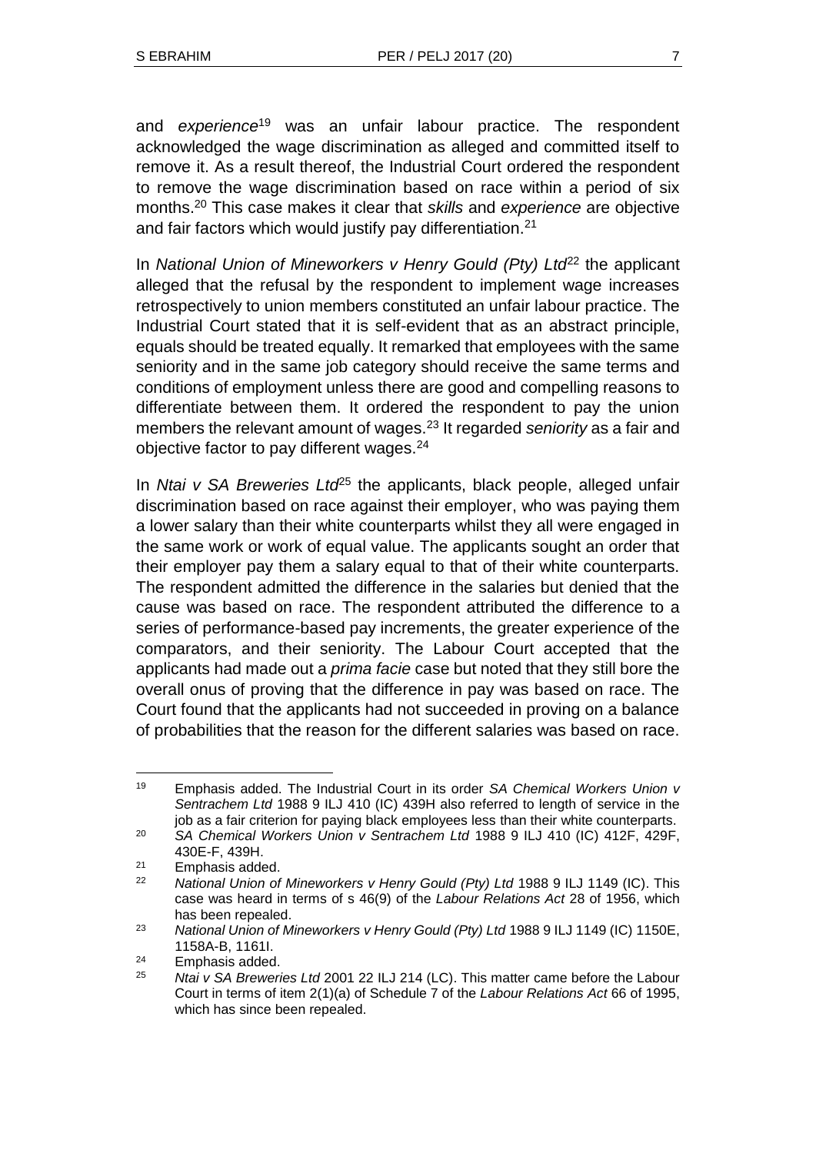and *experience*<sup>19</sup> was an unfair labour practice. The respondent acknowledged the wage discrimination as alleged and committed itself to remove it. As a result thereof, the Industrial Court ordered the respondent to remove the wage discrimination based on race within a period of six months.<sup>20</sup> This case makes it clear that *skills* and *experience* are objective and fair factors which would justify pay differentiation.<sup>21</sup>

In *National Union of Mineworkers v Henry Gould (Pty) Ltd<sup>22</sup> the applicant* alleged that the refusal by the respondent to implement wage increases retrospectively to union members constituted an unfair labour practice. The Industrial Court stated that it is self-evident that as an abstract principle, equals should be treated equally. It remarked that employees with the same seniority and in the same job category should receive the same terms and conditions of employment unless there are good and compelling reasons to differentiate between them. It ordered the respondent to pay the union members the relevant amount of wages.<sup>23</sup> It regarded *seniority* as a fair and objective factor to pay different wages.<sup>24</sup>

In *Ntai v SA Breweries Ltd<sup>25</sup>* the applicants, black people, alleged unfair discrimination based on race against their employer, who was paying them a lower salary than their white counterparts whilst they all were engaged in the same work or work of equal value. The applicants sought an order that their employer pay them a salary equal to that of their white counterparts. The respondent admitted the difference in the salaries but denied that the cause was based on race. The respondent attributed the difference to a series of performance-based pay increments, the greater experience of the comparators, and their seniority. The Labour Court accepted that the applicants had made out a *prima facie* case but noted that they still bore the overall onus of proving that the difference in pay was based on race. The Court found that the applicants had not succeeded in proving on a balance of probabilities that the reason for the different salaries was based on race.

l <sup>19</sup> Emphasis added. The Industrial Court in its order *SA Chemical Workers Union v Sentrachem Ltd* 1988 9 ILJ 410 (IC) 439H also referred to length of service in the job as a fair criterion for paying black employees less than their white counterparts.

<sup>20</sup> *SA Chemical Workers Union v Sentrachem Ltd* 1988 9 ILJ 410 (IC) 412F, 429F, 430E-F, 439H.

 $21$  $21$  Emphasis added.

<sup>22</sup> *National Union of Mineworkers v Henry Gould (Pty) Ltd* 1988 9 ILJ 1149 (IC). This case was heard in terms of s 46(9) of the *Labour Relations Act* 28 of 1956, which has been repealed.

<sup>23</sup> *National Union of Mineworkers v Henry Gould (Pty) Ltd* 1988 9 ILJ 1149 (IC) 1150E, 1158A-B, 1161I.

<sup>24</sup> Emphasis added.

<sup>25</sup> *Ntai v SA Breweries Ltd* 2001 22 ILJ 214 (LC). This matter came before the Labour Court in terms of item 2(1)(a) of Schedule 7 of the *Labour Relations Act* 66 of 1995, which has since been repealed.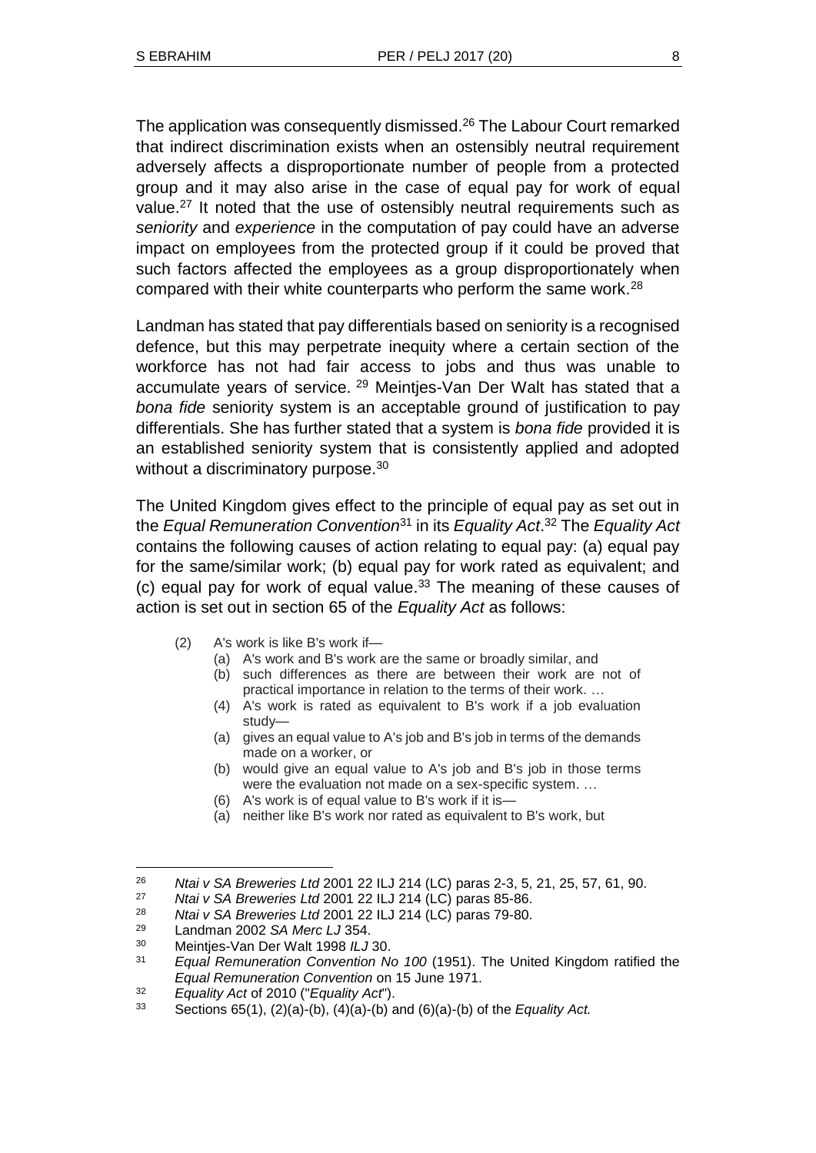The application was consequently dismissed.<sup>26</sup> The Labour Court remarked that indirect discrimination exists when an ostensibly neutral requirement adversely affects a disproportionate number of people from a protected group and it may also arise in the case of equal pay for work of equal value.<sup>27</sup> It noted that the use of ostensibly neutral requirements such as *seniority* and *experience* in the computation of pay could have an adverse impact on employees from the protected group if it could be proved that such factors affected the employees as a group disproportionately when compared with their white counterparts who perform the same work.<sup>28</sup>

Landman has stated that pay differentials based on seniority is a recognised defence, but this may perpetrate inequity where a certain section of the workforce has not had fair access to jobs and thus was unable to accumulate years of service. <sup>29</sup> Meintjes-Van Der Walt has stated that a *bona fide* seniority system is an acceptable ground of justification to pay differentials. She has further stated that a system is *bona fide* provided it is an established seniority system that is consistently applied and adopted without a discriminatory purpose.<sup>30</sup>

The United Kingdom gives effect to the principle of equal pay as set out in the *Equal Remuneration Convention*<sup>31</sup> in its *Equality Act*. <sup>32</sup> The *Equality Act* contains the following causes of action relating to equal pay: (a) equal pay for the same/similar work; (b) equal pay for work rated as equivalent; and (c) equal pay for work of equal value.<sup>33</sup> The meaning of these causes of action is set out in section 65 of the *Equality Act* as follows:

- (2) A's work is like B's work if—
	- (a) A's work and B's work are the same or broadly similar, and
	- (b) such differences as there are between their work are not of practical importance in relation to the terms of their work. …
	- (4) A's work is rated as equivalent to B's work if a job evaluation study—
	- (a) gives an equal value to A's job and B's job in terms of the demands made on a worker, or
	- (b) would give an equal value to A's job and B's job in those terms were the evaluation not made on a sex-specific system. …
	- (6) A's work is of equal value to B's work if it is—
	- (a) neither like B's work nor rated as equivalent to B's work, but

<sup>26</sup> *Ntai v SA Breweries Ltd* 2001 22 ILJ 214 (LC) paras 2-3, 5, 21, 25, 57, 61, 90.

<sup>27</sup> *Ntai v SA Breweries Ltd* 2001 22 ILJ 214 (LC) paras 85-86.

<sup>28</sup> *Ntai v SA Breweries Ltd* 2001 22 ILJ 214 (LC) paras 79-80.

<sup>29</sup> Landman 2002 *SA Merc LJ* 354.

<sup>30</sup> Meintjes-Van Der Walt 1998 *ILJ* 30.

<sup>31</sup> *Equal Remuneration Convention No 100* (1951). The United Kingdom ratified the *Equal Remuneration Convention* on 15 June 1971.

<sup>32</sup> *Equality Act* of 2010 ("*Equality Act*").

<sup>33</sup> Sections 65(1), (2)(a)-(b), (4)(a)-(b) and (6)(a)-(b) of the *Equality Act.*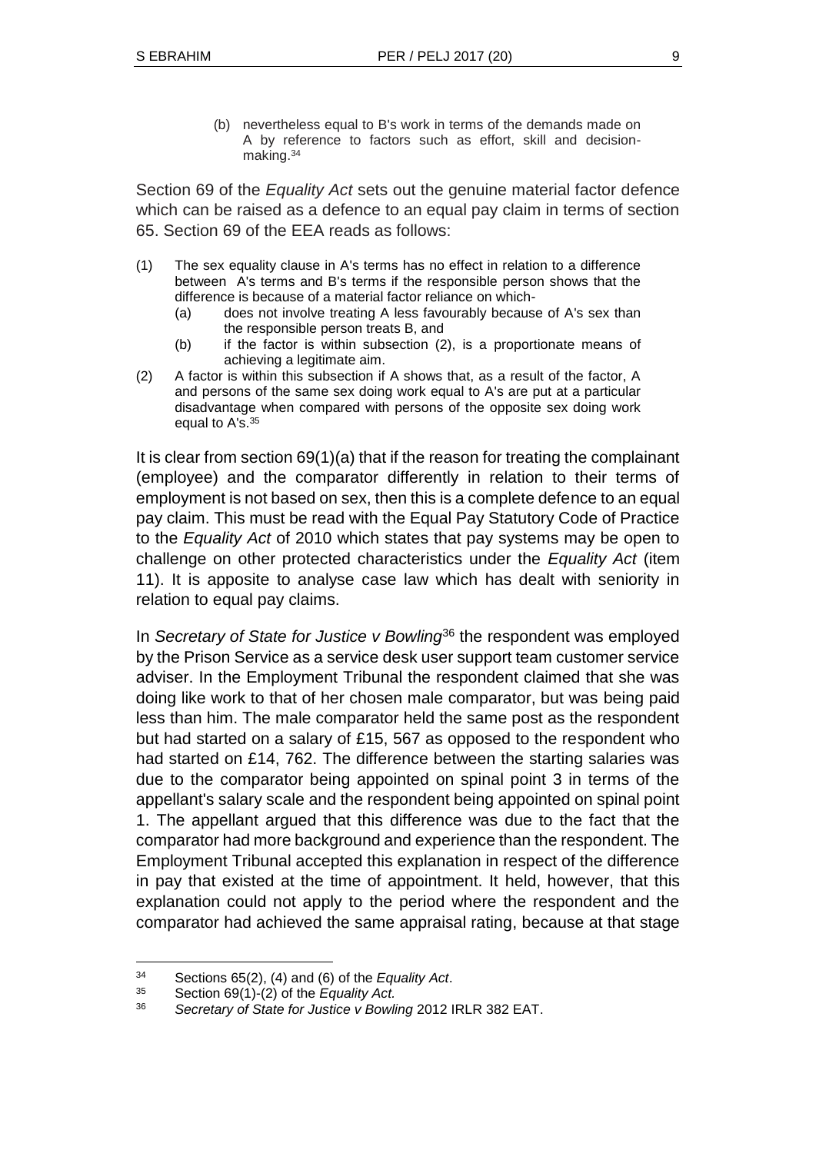(b) nevertheless equal to B's work in terms of the demands made on A by reference to factors such as effort, skill and decisionmaking.<sup>34</sup>

Section 69 of the *Equality Act* sets out the genuine material factor defence which can be raised as a defence to an equal pay claim in terms of section 65. Section 69 of the EEA reads as follows:

- (1) The sex equality clause in A's terms has no effect in relation to a difference between A's terms and B's terms if the responsible person shows that the difference is because of a material factor reliance on which-
	- (a) does not involve treating A less favourably because of A's sex than the responsible person treats B, and
	- (b) if the factor is within subsection (2), is a proportionate means of achieving a legitimate aim.
- (2) A factor is within this subsection if A shows that, as a result of the factor, A and persons of the same sex doing work equal to A's are put at a particular disadvantage when compared with persons of the opposite sex doing work equal to A's.<sup>35</sup>

It is clear from section 69(1)(a) that if the reason for treating the complainant (employee) and the comparator differently in relation to their terms of employment is not based on sex, then this is a complete defence to an equal pay claim. This must be read with the Equal Pay Statutory Code of Practice to the *Equality Act* of 2010 which states that pay systems may be open to challenge on other protected characteristics under the *Equality Act* (item 11). It is apposite to analyse case law which has dealt with seniority in relation to equal pay claims.

In *Secretary of State for Justice v Bowling*<sup>36</sup> the respondent was employed by the Prison Service as a service desk user support team customer service adviser. In the Employment Tribunal the respondent claimed that she was doing like work to that of her chosen male comparator, but was being paid less than him. The male comparator held the same post as the respondent but had started on a salary of £15, 567 as opposed to the respondent who had started on £14, 762. The difference between the starting salaries was due to the comparator being appointed on spinal point 3 in terms of the appellant's salary scale and the respondent being appointed on spinal point 1. The appellant argued that this difference was due to the fact that the comparator had more background and experience than the respondent. The Employment Tribunal accepted this explanation in respect of the difference in pay that existed at the time of appointment. It held, however, that this explanation could not apply to the period where the respondent and the comparator had achieved the same appraisal rating, because at that stage

 $\overline{a}$ 

<sup>34</sup> Sections 65(2), (4) and (6) of the *Equality Act*.

<sup>35</sup> Section 69(1)-(2) of the *Equality Act.*

<sup>36</sup> *Secretary of State for Justice v Bowling* 2012 IRLR 382 EAT.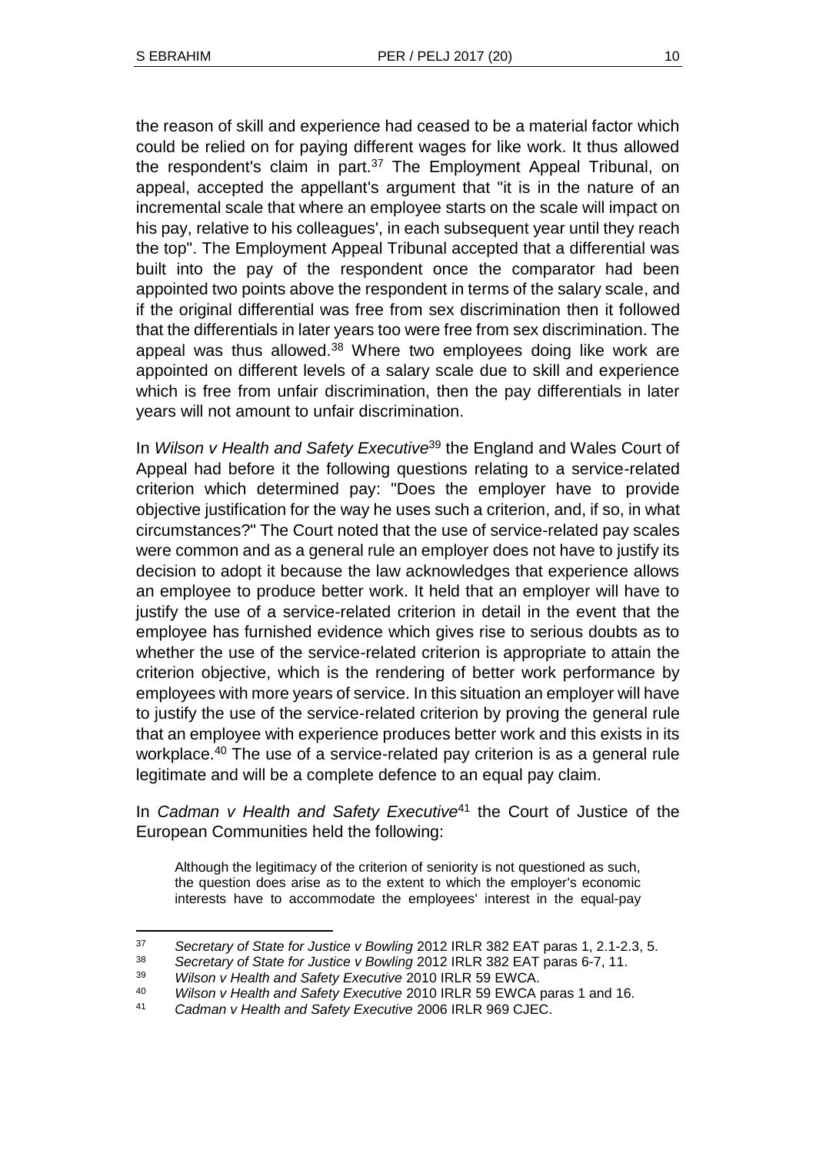the reason of skill and experience had ceased to be a material factor which could be relied on for paying different wages for like work. It thus allowed the respondent's claim in part.<sup>37</sup> The Employment Appeal Tribunal, on appeal, accepted the appellant's argument that "it is in the nature of an incremental scale that where an employee starts on the scale will impact on his pay, relative to his colleagues', in each subsequent year until they reach the top". The Employment Appeal Tribunal accepted that a differential was built into the pay of the respondent once the comparator had been appointed two points above the respondent in terms of the salary scale, and if the original differential was free from sex discrimination then it followed that the differentials in later years too were free from sex discrimination. The appeal was thus allowed. $38$  Where two employees doing like work are appointed on different levels of a salary scale due to skill and experience which is free from unfair discrimination, then the pay differentials in later years will not amount to unfair discrimination.

In *Wilson v Health and Safety Executive*<sup>39</sup> the England and Wales Court of Appeal had before it the following questions relating to a service-related criterion which determined pay: "Does the employer have to provide objective justification for the way he uses such a criterion, and, if so, in what circumstances?" The Court noted that the use of service-related pay scales were common and as a general rule an employer does not have to justify its decision to adopt it because the law acknowledges that experience allows an employee to produce better work. It held that an employer will have to justify the use of a service-related criterion in detail in the event that the employee has furnished evidence which gives rise to serious doubts as to whether the use of the service-related criterion is appropriate to attain the criterion objective, which is the rendering of better work performance by employees with more years of service. In this situation an employer will have to justify the use of the service-related criterion by proving the general rule that an employee with experience produces better work and this exists in its workplace.<sup>40</sup> The use of a service-related pay criterion is as a general rule legitimate and will be a complete defence to an equal pay claim.

In *Cadman v Health and Safety Executive*<sup>41</sup> the Court of Justice of the European Communities held the following:

Although the legitimacy of the criterion of seniority is not questioned as such, the question does arise as to the extent to which the employer's economic interests have to accommodate the employees' interest in the equal-pay

l <sup>37</sup> *Secretary of State for Justice v Bowling* 2012 IRLR 382 EAT paras 1, 2.1-2.3, 5.

<sup>38</sup> *Secretary of State for Justice v Bowling* 2012 IRLR 382 EAT paras 6-7, 11.

<sup>39</sup> *Wilson v Health and Safety Executive* 2010 IRLR 59 EWCA.

<sup>40</sup> *Wilson v Health and Safety Executive* 2010 IRLR 59 EWCA paras 1 and 16.

<sup>41</sup> *Cadman v Health and Safety Executive* 2006 IRLR 969 CJEC.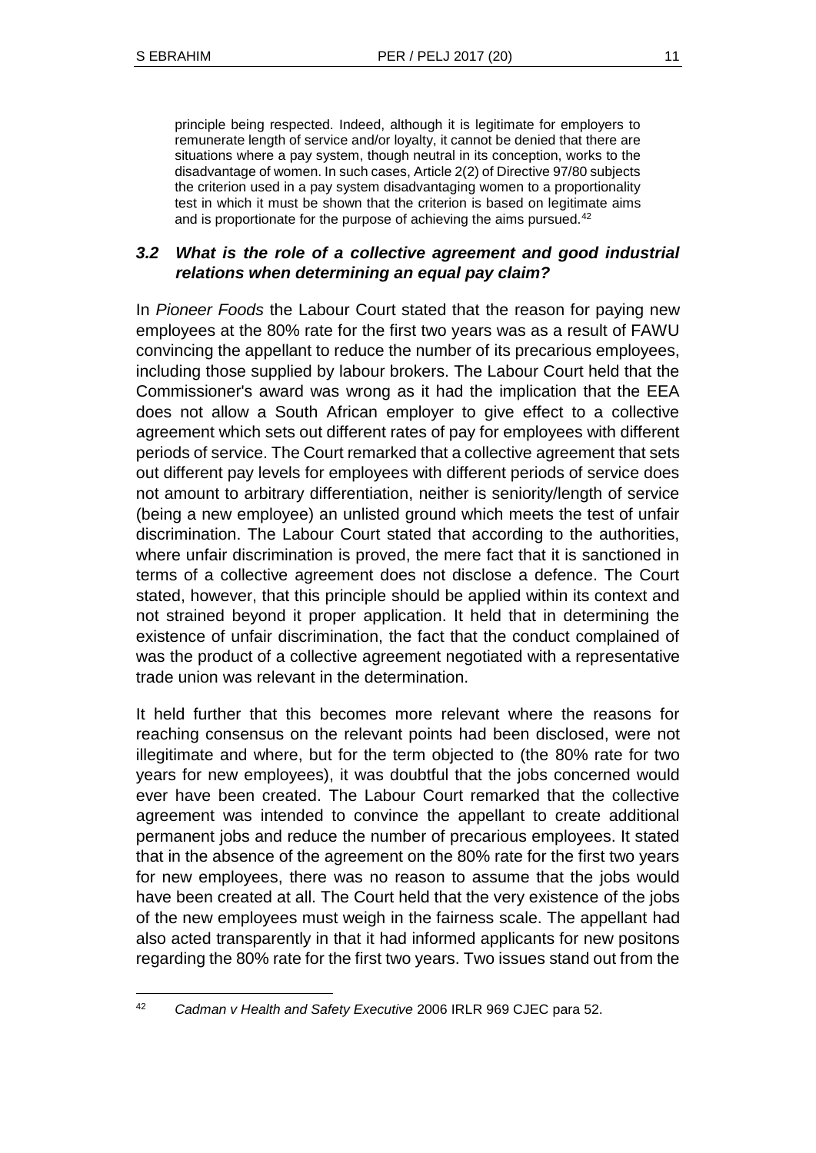principle being respected. Indeed, although it is legitimate for employers to remunerate length of service and/or loyalty, it cannot be denied that there are situations where a pay system, though neutral in its conception, works to the disadvantage of women. In such cases, Article 2(2) of Directive 97/80 subjects the criterion used in a pay system disadvantaging women to a proportionality test in which it must be shown that the criterion is based on legitimate aims and is proportionate for the purpose of achieving the aims pursued.<sup>42</sup>

## *3.2 What is the role of a collective agreement and good industrial relations when determining an equal pay claim?*

In *Pioneer Foods* the Labour Court stated that the reason for paying new employees at the 80% rate for the first two years was as a result of FAWU convincing the appellant to reduce the number of its precarious employees, including those supplied by labour brokers. The Labour Court held that the Commissioner's award was wrong as it had the implication that the EEA does not allow a South African employer to give effect to a collective agreement which sets out different rates of pay for employees with different periods of service. The Court remarked that a collective agreement that sets out different pay levels for employees with different periods of service does not amount to arbitrary differentiation, neither is seniority/length of service (being a new employee) an unlisted ground which meets the test of unfair discrimination. The Labour Court stated that according to the authorities, where unfair discrimination is proved, the mere fact that it is sanctioned in terms of a collective agreement does not disclose a defence. The Court stated, however, that this principle should be applied within its context and not strained beyond it proper application. It held that in determining the existence of unfair discrimination, the fact that the conduct complained of was the product of a collective agreement negotiated with a representative trade union was relevant in the determination.

It held further that this becomes more relevant where the reasons for reaching consensus on the relevant points had been disclosed, were not illegitimate and where, but for the term objected to (the 80% rate for two years for new employees), it was doubtful that the jobs concerned would ever have been created. The Labour Court remarked that the collective agreement was intended to convince the appellant to create additional permanent jobs and reduce the number of precarious employees. It stated that in the absence of the agreement on the 80% rate for the first two years for new employees, there was no reason to assume that the jobs would have been created at all. The Court held that the very existence of the jobs of the new employees must weigh in the fairness scale. The appellant had also acted transparently in that it had informed applicants for new positons regarding the 80% rate for the first two years. Two issues stand out from the

l <sup>42</sup> *Cadman v Health and Safety Executive* 2006 IRLR 969 CJEC para 52.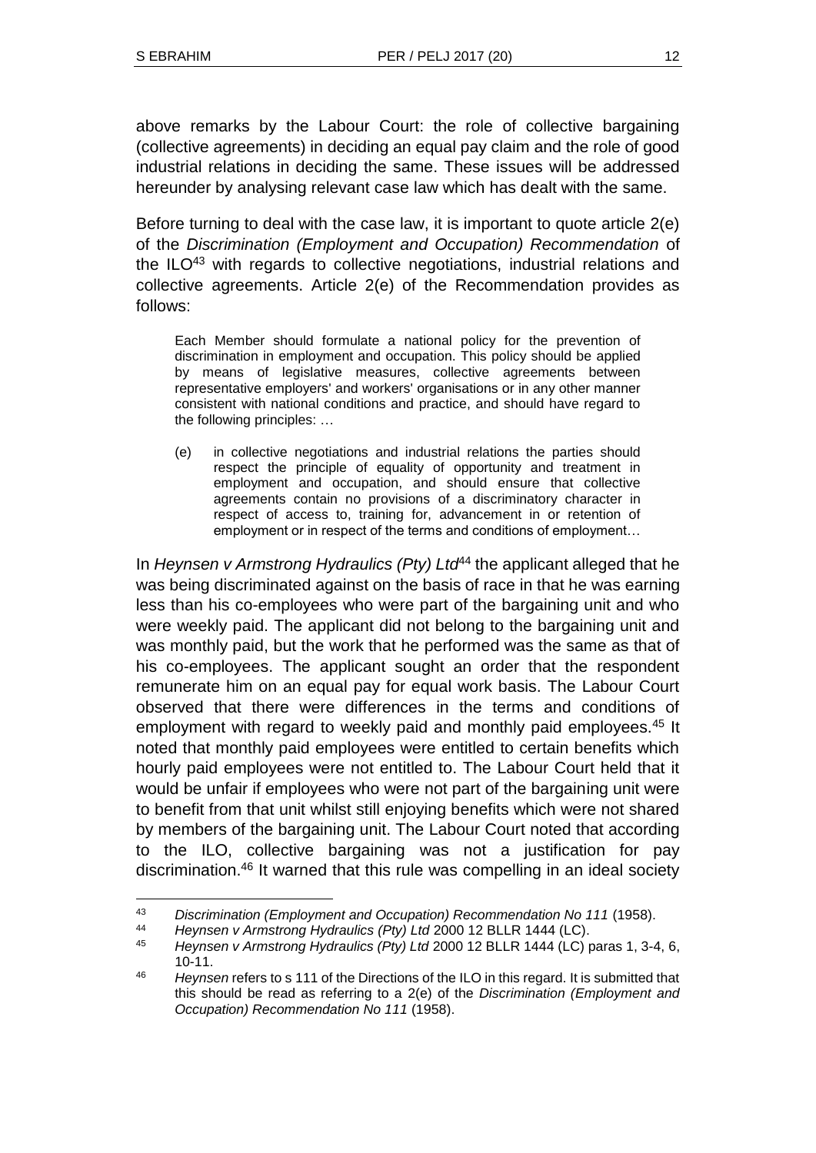above remarks by the Labour Court: the role of collective bargaining (collective agreements) in deciding an equal pay claim and the role of good industrial relations in deciding the same. These issues will be addressed hereunder by analysing relevant case law which has dealt with the same.

Before turning to deal with the case law, it is important to quote article 2(e) of the *Discrimination (Employment and Occupation) Recommendation* of the  $ILO<sup>43</sup>$  with regards to collective negotiations, industrial relations and collective agreements. Article 2(e) of the Recommendation provides as follows:

Each Member should formulate a national policy for the prevention of discrimination in employment and occupation. This policy should be applied by means of legislative measures, collective agreements between representative employers' and workers' organisations or in any other manner consistent with national conditions and practice, and should have regard to the following principles: …

(e) in collective negotiations and industrial relations the parties should respect the principle of equality of opportunity and treatment in employment and occupation, and should ensure that collective agreements contain no provisions of a discriminatory character in respect of access to, training for, advancement in or retention of employment or in respect of the terms and conditions of employment…

In *Heynsen v Armstrong Hydraulics (Pty) Ltd*<sup>44</sup> the applicant alleged that he was being discriminated against on the basis of race in that he was earning less than his co-employees who were part of the bargaining unit and who were weekly paid. The applicant did not belong to the bargaining unit and was monthly paid, but the work that he performed was the same as that of his co-employees. The applicant sought an order that the respondent remunerate him on an equal pay for equal work basis. The Labour Court observed that there were differences in the terms and conditions of employment with regard to weekly paid and monthly paid employees.<sup>45</sup> It noted that monthly paid employees were entitled to certain benefits which hourly paid employees were not entitled to. The Labour Court held that it would be unfair if employees who were not part of the bargaining unit were to benefit from that unit whilst still enjoying benefits which were not shared by members of the bargaining unit. The Labour Court noted that according to the ILO, collective bargaining was not a justification for pay discrimination.<sup>46</sup> It warned that this rule was compelling in an ideal society

l <sup>43</sup> *Discrimination (Employment and Occupation) Recommendation No 111* (1958).

<sup>44</sup> *Heynsen v Armstrong Hydraulics (Pty) Ltd* 2000 12 BLLR 1444 (LC).

<sup>45</sup> *Heynsen v Armstrong Hydraulics (Pty) Ltd* 2000 12 BLLR 1444 (LC) paras 1, 3-4, 6, 10-11.

<sup>46</sup> *Heynsen* refers to s 111 of the Directions of the ILO in this regard. It is submitted that this should be read as referring to a 2(e) of the *Discrimination (Employment and Occupation) Recommendation No 111* (1958).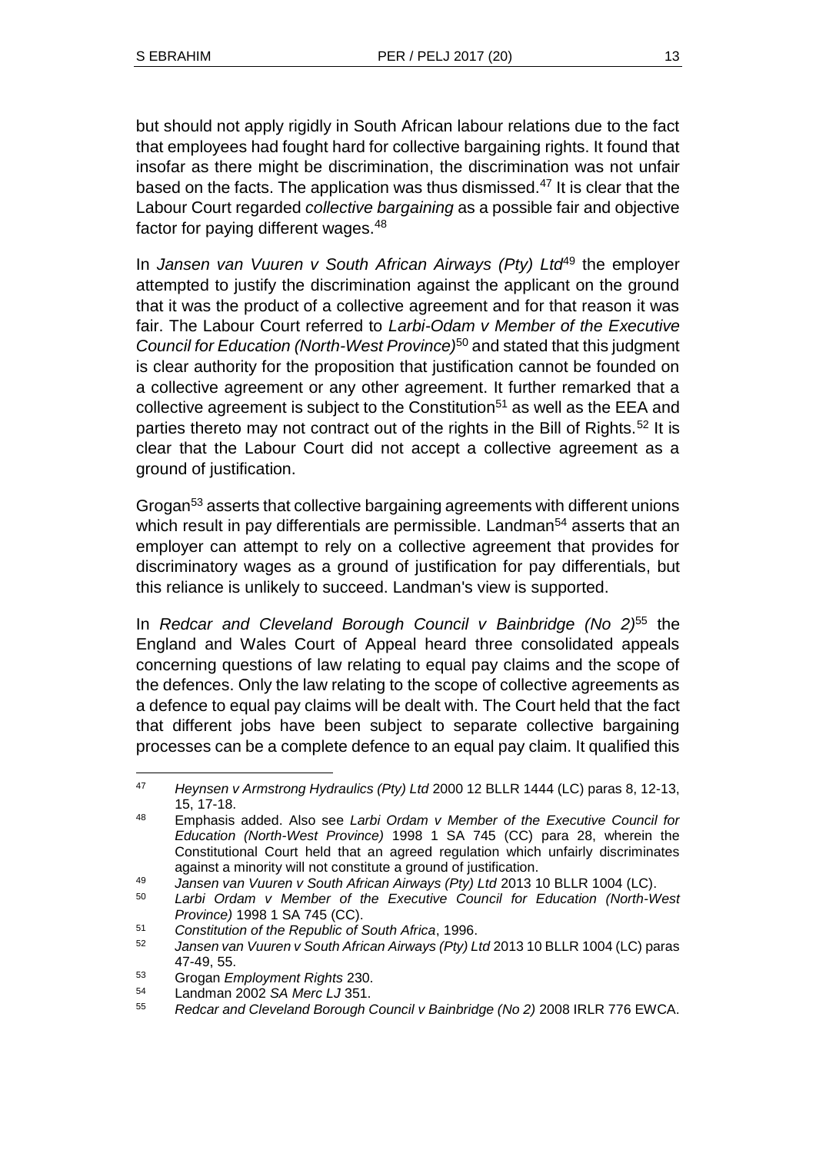but should not apply rigidly in South African labour relations due to the fact that employees had fought hard for collective bargaining rights. It found that insofar as there might be discrimination, the discrimination was not unfair based on the facts. The application was thus dismissed.<sup>47</sup> It is clear that the Labour Court regarded *collective bargaining* as a possible fair and objective factor for paying different wages.<sup>48</sup>

In *Jansen van Vuuren v South African Airways (Pty) Ltd<sup>49</sup> the employer* attempted to justify the discrimination against the applicant on the ground that it was the product of a collective agreement and for that reason it was fair. The Labour Court referred to *Larbi-Odam v Member of the Executive Council for Education (North-West Province)*<sup>50</sup> and stated that this judgment is clear authority for the proposition that justification cannot be founded on a collective agreement or any other agreement. It further remarked that a collective agreement is subject to the Constitution<sup>51</sup> as well as the EEA and parties thereto may not contract out of the rights in the Bill of Rights.<sup>52</sup> It is clear that the Labour Court did not accept a collective agreement as a ground of justification.

Grogan<sup>53</sup> asserts that collective bargaining agreements with different unions which result in pay differentials are permissible. Landman<sup>54</sup> asserts that an employer can attempt to rely on a collective agreement that provides for discriminatory wages as a ground of justification for pay differentials, but this reliance is unlikely to succeed. Landman's view is supported.

In *Redcar and Cleveland Borough Council v Bainbridge (No 2)*<sup>55</sup> the England and Wales Court of Appeal heard three consolidated appeals concerning questions of law relating to equal pay claims and the scope of the defences. Only the law relating to the scope of collective agreements as a defence to equal pay claims will be dealt with. The Court held that the fact that different jobs have been subject to separate collective bargaining processes can be a complete defence to an equal pay claim. It qualified this

<sup>47</sup> *Heynsen v Armstrong Hydraulics (Pty) Ltd* 2000 12 BLLR 1444 (LC) paras 8, 12-13, 15, 17-18.

<sup>48</sup> Emphasis added. Also see *Larbi Ordam v Member of the Executive Council for Education (North-West Province)* 1998 1 SA 745 (CC) para 28, wherein the Constitutional Court held that an agreed regulation which unfairly discriminates against a minority will not constitute a ground of justification.

<sup>49</sup> *Jansen van Vuuren v South African Airways (Pty) Ltd* 2013 10 BLLR 1004 (LC).

<sup>50</sup> *Larbi Ordam v Member of the Executive Council for Education (North-West Province)* 1998 1 SA 745 (CC).

<sup>51</sup> *Constitution of the Republic of South Africa*, 1996.

<sup>52</sup> *Jansen van Vuuren v South African Airways (Pty) Ltd* 2013 10 BLLR 1004 (LC) paras 47-49, 55.

<sup>53</sup> Grogan *Employment Rights* 230.

<sup>54</sup> Landman 2002 *SA Merc LJ* 351.

<sup>55</sup> *Redcar and Cleveland Borough Council v Bainbridge (No 2)* 2008 IRLR 776 EWCA.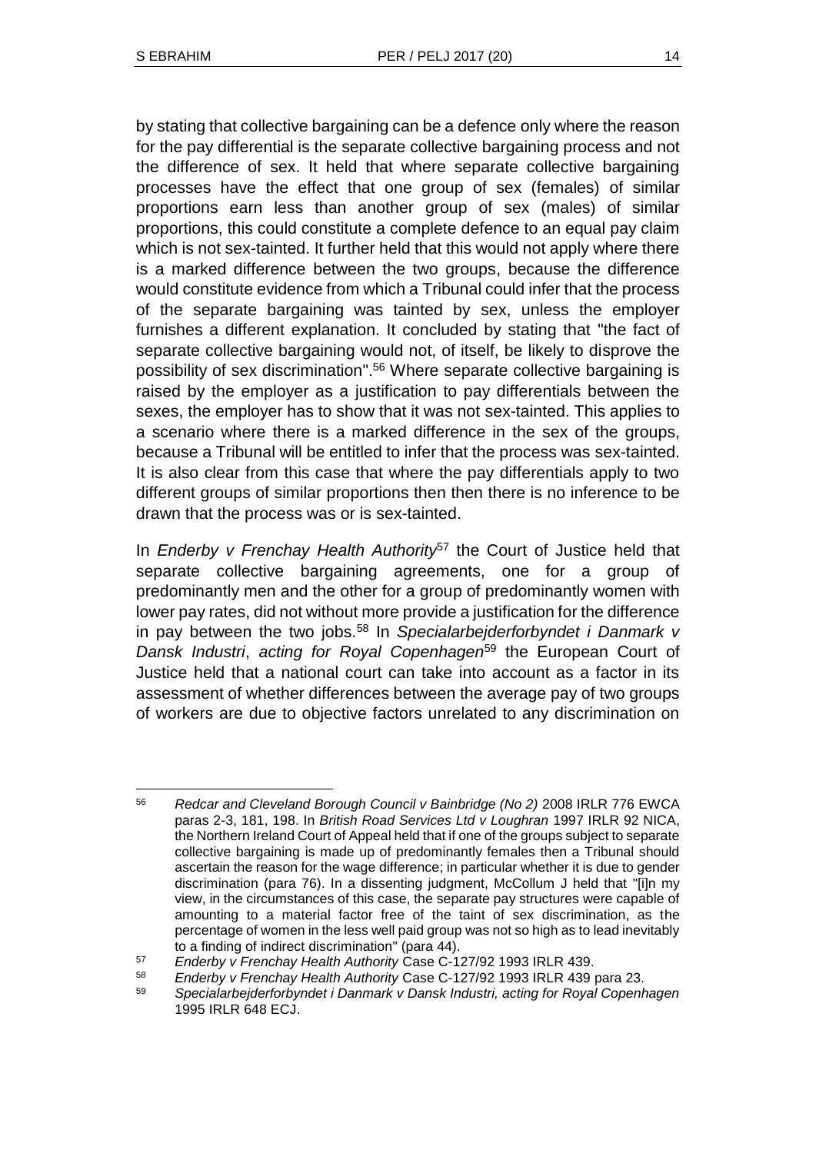by stating that collective bargaining can be a defence only where the reason for the pay differential is the separate collective bargaining process and not the difference of sex. It held that where separate collective bargaining processes have the effect that one group of sex (females) of similar proportions earn less than another group of sex (males) of similar proportions, this could constitute a complete defence to an equal pay claim which is not sex-tainted. It further held that this would not apply where there is a marked difference between the two groups, because the difference would constitute evidence from which a Tribunal could infer that the process of the separate bargaining was tainted by sex, unless the employer furnishes a different explanation. It concluded by stating that "the fact of separate collective bargaining would not, of itself, be likely to disprove the possibility of sex discrimination". <sup>56</sup> Where separate collective bargaining is raised by the employer as a justification to pay differentials between the sexes, the employer has to show that it was not sex-tainted. This applies to a scenario where there is a marked difference in the sex of the groups, because a Tribunal will be entitled to infer that the process was sex-tainted. It is also clear from this case that where the pay differentials apply to two different groups of similar proportions then then there is no inference to be drawn that the process was or is sex-tainted.

In *Enderby v Frenchay Health Authority*<sup>57</sup> the Court of Justice held that separate collective bargaining agreements, one for a group of predominantly men and the other for a group of predominantly women with lower pay rates, did not without more provide a justification for the difference in pay between the two jobs.<sup>58</sup> In *Specialarbejderforbyndet i Danmark v Dansk Industri*, *acting for Royal Copenhagen*<sup>59</sup> the European Court of Justice held that a national court can take into account as a factor in its assessment of whether differences between the average pay of two groups of workers are due to objective factors unrelated to any discrimination on

l <sup>56</sup> *Redcar and Cleveland Borough Council v Bainbridge (No 2)* 2008 IRLR 776 EWCA paras 2-3, 181, 198. In *British Road Services Ltd v Loughran* 1997 IRLR 92 NICA, the Northern Ireland Court of Appeal held that if one of the groups subject to separate collective bargaining is made up of predominantly females then a Tribunal should ascertain the reason for the wage difference; in particular whether it is due to gender discrimination (para 76). In a dissenting judgment, McCollum J held that "[i]n my view, in the circumstances of this case, the separate pay structures were capable of amounting to a material factor free of the taint of sex discrimination, as the percentage of women in the less well paid group was not so high as to lead inevitably to a finding of indirect discrimination" (para 44).

<sup>57</sup> *Enderby v Frenchay Health Authority* Case C-127/92 1993 IRLR 439.

<sup>58</sup> *Enderby v Frenchay Health Authority* Case C-127/92 1993 IRLR 439 para 23.

<sup>59</sup> *Specialarbejderforbyndet i Danmark v Dansk Industri, acting for Royal Copenhagen* 1995 IRLR 648 ECJ.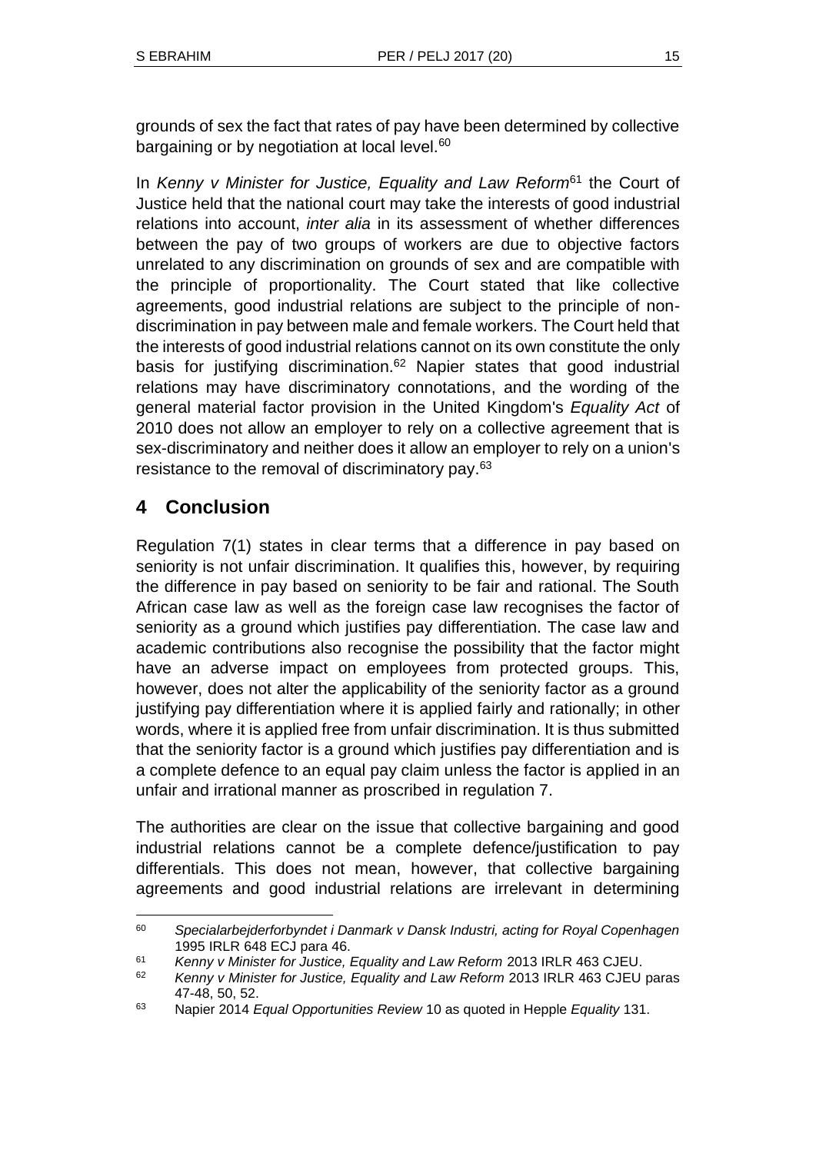grounds of sex the fact that rates of pay have been determined by collective bargaining or by negotiation at local level.<sup>60</sup>

In *Kenny v Minister for Justice, Equality and Law Reform*<sup>61</sup> the Court of Justice held that the national court may take the interests of good industrial relations into account, *inter alia* in its assessment of whether differences between the pay of two groups of workers are due to objective factors unrelated to any discrimination on grounds of sex and are compatible with the principle of proportionality. The Court stated that like collective agreements, good industrial relations are subject to the principle of nondiscrimination in pay between male and female workers. The Court held that the interests of good industrial relations cannot on its own constitute the only basis for justifying discrimination.<sup>62</sup> Napier states that good industrial relations may have discriminatory connotations, and the wording of the general material factor provision in the United Kingdom's *Equality Act* of 2010 does not allow an employer to rely on a collective agreement that is sex-discriminatory and neither does it allow an employer to rely on a union's resistance to the removal of discriminatory pay.<sup>63</sup>

# **4 Conclusion**

Regulation 7(1) states in clear terms that a difference in pay based on seniority is not unfair discrimination. It qualifies this, however, by requiring the difference in pay based on seniority to be fair and rational. The South African case law as well as the foreign case law recognises the factor of seniority as a ground which justifies pay differentiation. The case law and academic contributions also recognise the possibility that the factor might have an adverse impact on employees from protected groups. This, however, does not alter the applicability of the seniority factor as a ground justifying pay differentiation where it is applied fairly and rationally; in other words, where it is applied free from unfair discrimination. It is thus submitted that the seniority factor is a ground which justifies pay differentiation and is a complete defence to an equal pay claim unless the factor is applied in an unfair and irrational manner as proscribed in regulation 7.

The authorities are clear on the issue that collective bargaining and good industrial relations cannot be a complete defence/justification to pay differentials. This does not mean, however, that collective bargaining agreements and good industrial relations are irrelevant in determining

l <sup>60</sup> *Specialarbejderforbyndet i Danmark v Dansk Industri, acting for Royal Copenhagen* 1995 IRLR 648 ECJ para 46.

<sup>61</sup> *Kenny v Minister for Justice, Equality and Law Reform* 2013 IRLR 463 CJEU.

<sup>62</sup> *Kenny v Minister for Justice, Equality and Law Reform* 2013 IRLR 463 CJEU paras 47-48, 50, 52.

<sup>63</sup> Napier 2014 *Equal Opportunities Review* 10 as quoted in Hepple *Equality* 131.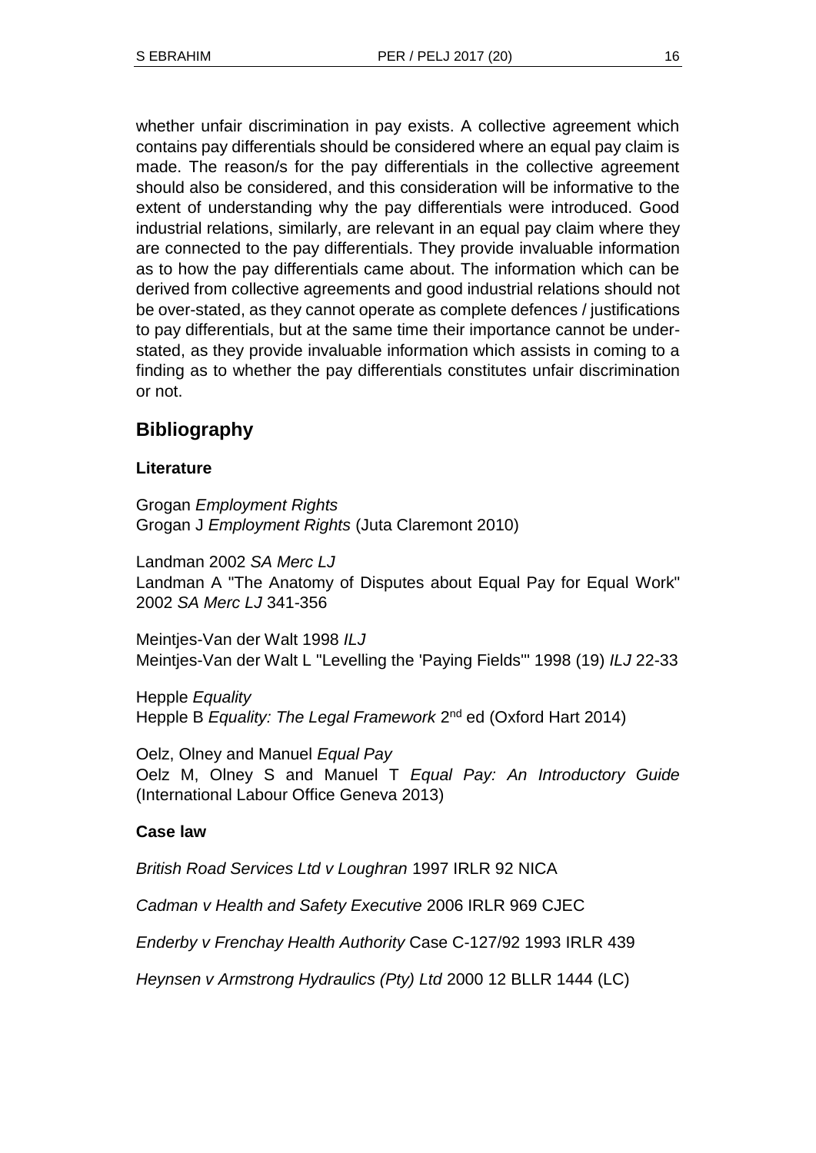whether unfair discrimination in pay exists. A collective agreement which contains pay differentials should be considered where an equal pay claim is made. The reason/s for the pay differentials in the collective agreement should also be considered, and this consideration will be informative to the extent of understanding why the pay differentials were introduced. Good industrial relations, similarly, are relevant in an equal pay claim where they are connected to the pay differentials. They provide invaluable information as to how the pay differentials came about. The information which can be derived from collective agreements and good industrial relations should not be over-stated, as they cannot operate as complete defences / justifications to pay differentials, but at the same time their importance cannot be understated, as they provide invaluable information which assists in coming to a finding as to whether the pay differentials constitutes unfair discrimination or not.

# **Bibliography**

## **Literature**

Grogan *Employment Rights* Grogan J *Employment Rights* (Juta Claremont 2010)

Landman 2002 *SA Merc LJ* Landman A "The Anatomy of Disputes about Equal Pay for Equal Work" 2002 *SA Merc LJ* 341-356

Meintjes-Van der Walt 1998 *ILJ* Meintjes-Van der Walt L "Levelling the 'Paying Fields'" 1998 (19) *ILJ* 22-33

Hepple *Equality* Hepple B Equality: The Legal Framework 2<sup>nd</sup> ed (Oxford Hart 2014)

Oelz, Olney and Manuel *Equal Pay* Oelz M, Olney S and Manuel T *Equal Pay: An Introductory Guide* (International Labour Office Geneva 2013)

## **Case law**

*British Road Services Ltd v Loughran* 1997 IRLR 92 NICA

*Cadman v Health and Safety Executive* 2006 IRLR 969 CJEC

*Enderby v Frenchay Health Authority* Case C-127/92 1993 IRLR 439

*Heynsen v Armstrong Hydraulics (Pty) Ltd* 2000 12 BLLR 1444 (LC)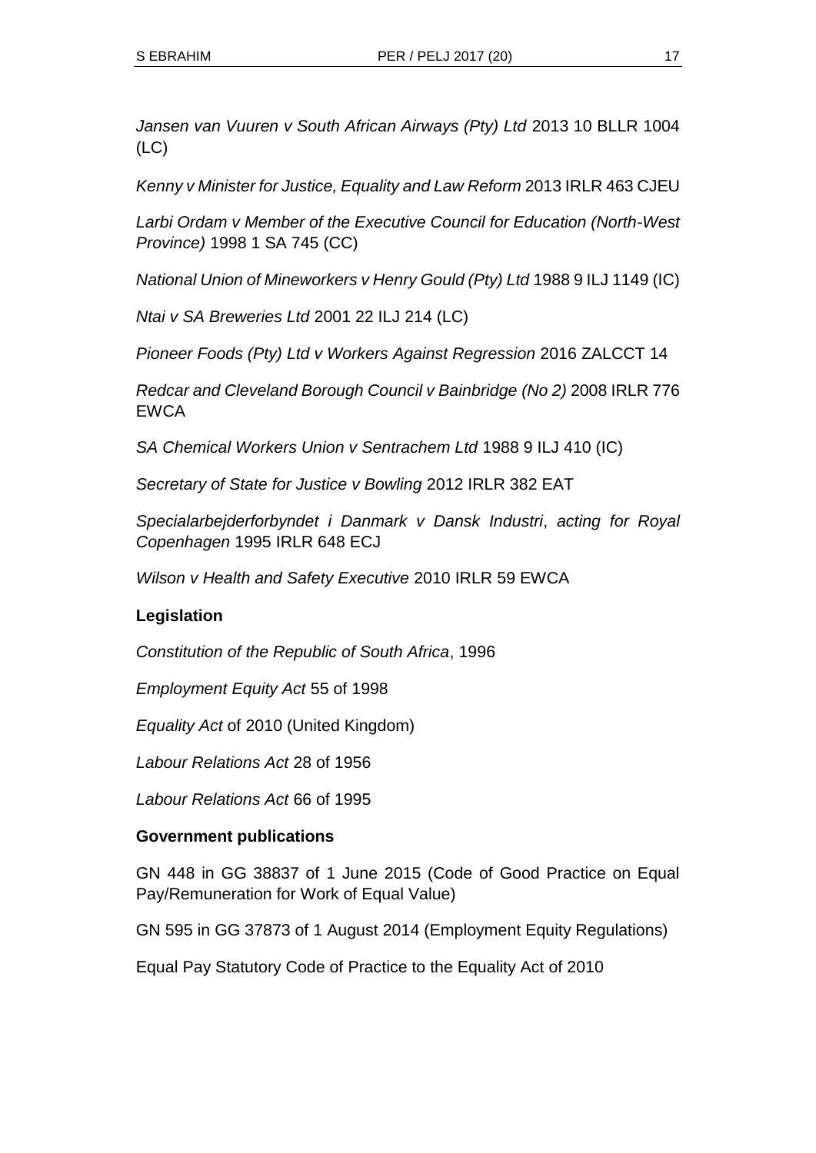*Jansen van Vuuren v South African Airways (Pty) Ltd* 2013 10 BLLR 1004 (LC)

*Kenny v Minister for Justice, Equality and Law Reform* 2013 IRLR 463 CJEU

*Larbi Ordam v Member of the Executive Council for Education (North-West Province)* 1998 1 SA 745 (CC)

*National Union of Mineworkers v Henry Gould (Pty) Ltd* 1988 9 ILJ 1149 (IC)

*Ntai v SA Breweries Ltd* 2001 22 ILJ 214 (LC)

*Pioneer Foods (Pty) Ltd v Workers Against Regression* 2016 ZALCCT 14

*Redcar and Cleveland Borough Council v Bainbridge (No 2)* 2008 IRLR 776 **EWCA** 

*SA Chemical Workers Union v Sentrachem Ltd* 1988 9 ILJ 410 (IC)

*Secretary of State for Justice v Bowling* 2012 IRLR 382 EAT

*Specialarbejderforbyndet i Danmark v Dansk Industri*, *acting for Royal Copenhagen* 1995 IRLR 648 ECJ

*Wilson v Health and Safety Executive* 2010 IRLR 59 EWCA

## **Legislation**

*Constitution of the Republic of South Africa*, 1996

*Employment Equity Act* 55 of 1998

*Equality Act* of 2010 (United Kingdom)

*Labour Relations Act* 28 of 1956

*Labour Relations Act* 66 of 1995

### **Government publications**

GN 448 in GG 38837 of 1 June 2015 (Code of Good Practice on Equal Pay/Remuneration for Work of Equal Value)

GN 595 in GG 37873 of 1 August 2014 (Employment Equity Regulations)

Equal Pay Statutory Code of Practice to the Equality Act of 2010